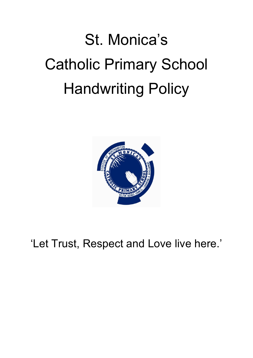# St. Monica's Catholic Primary School Handwriting Policy



'Let Trust, Respect and Love live here.'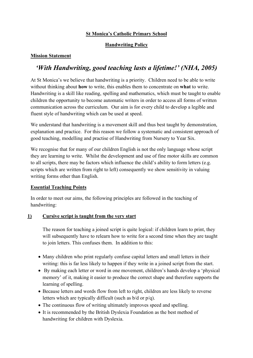# **St Monica's Catholic Primary School**

# **Handwriting Policy**

#### **Mission Statement**

# *'With Handwriting, good teaching lasts a lifetime!' (NHA, 2005)*

At St Monica's we believe that handwriting is a priority. Children need to be able to write without thinking about **how** to write, this enables them to concentrate on **what** to write. Handwriting is a skill like reading, spelling and mathematics, which must be taught to enable children the opportunity to become automatic writers in order to access all forms of written communication across the curriculum. Our aim is for every child to develop a legible and fluent style of handwriting which can be used at speed.

We understand that handwriting is a movement skill and thus best taught by demonstration, explanation and practice. For this reason we follow a systematic and consistent approach of good teaching, modelling and practise of Handwriting from Nursery to Year Six.

We recognise that for many of our children English is not the only language whose script they are learning to write. Whilst the development and use of fine motor skills are common to all scripts, there may be factors which influence the child's ability to form letters (e.g. scripts which are written from right to left) consequently we show sensitivity in valuing writing forms other than English.

#### **Essential Teaching Points**

In order to meet our aims, the following principles are followed in the teaching of handwriting:

#### **1) Cursive script is taught from the very start**

The reason for teaching a joined script is quite logical: if children learn to print, they will subsequently have to relearn how to write for a second time when they are taught to join letters. This confuses them. In addition to this:

- Many children who print regularly confuse capital letters and small letters in their writing: this is far less likely to happen if they write in a joined script from the start.
- By making each letter or word in one movement, children's hands develop a 'physical memory' of it, making it easier to produce the correct shape and therefore supports the learning of spelling.
- Because letters and words flow from left to right, children are less likely to reverse letters which are typically difficult (such as b/d or p/q).
- The continuous flow of writing ultimately improves speed and spelling.
- It is recommended by the British Dyslexia Foundation as the best method of handwriting for children with Dyslexia.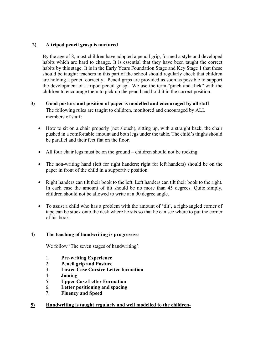# **2) A tripod pencil grasp is nurtured**

By the age of 8, most children have adopted a pencil grip, formed a style and developed habits which are hard to change. It is essential that they have been taught the correct habits by this stage. It is in the Early Years Foundation Stage and Key Stage 1 that these should be taught: teachers in this part of the school should regularly check that children are holding a pencil correctly. Pencil grips are provided as soon as possible to support the development of a tripod pencil grasp. We use the term "pinch and flick" with the children to encourage them to pick up the pencil and hold it in the correct position.

#### **3) Good posture and position of paper is modelled and encouraged by all staff**  The following rules are taught to children, monitored and encouraged by ALL members of staff:

- How to sit on a chair properly (not slouch), sitting up, with a straight back, the chair pushed in a comfortable amount and both legs under the table. The child's thighs should be parallel and their feet flat on the floor.
- All four chair legs must be on the ground children should not be rocking.
- The non-writing hand (left for right handers; right for left handers) should be on the paper in front of the child in a supportive position.
- Right handers can tilt their book to the left. Left handers can tilt their book to the right. In each case the amount of tilt should be no more than 45 degrees. Quite simply, children should not be allowed to write at a 90 degree angle.
- To assist a child who has a problem with the amount of 'tilt', a right-angled corner of tape can be stuck onto the desk where he sits so that he can see where to put the corner of his book.

#### **4) The teaching of handwriting is progressive**

We follow 'The seven stages of handwriting':

- 1. **Pre-writing Experience**
- 2. **Pencil grip and Posture**
- 3. **Lower Case Cursive Letter formation**
- 4. **Joining**
- 5. **Upper Case Letter Formation**
- 6. **Letter positioning and spacing**
- 7. **Fluency and Speed**

#### **5) Handwriting is taught regularly and well modelled to the children-**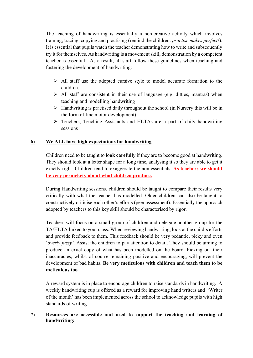The teaching of handwriting is essentially a non-creative activity which involves training, tracing, copying and practising (remind the children: *practise makes perfect!*). It is essential that pupils watch the teacher demonstrating how to write and subsequently try it for themselves. As handwriting is a movement skill, demonstration by a competent teacher is essential. As a result, all staff follow these guidelines when teaching and fostering the development of handwriting:

- $\triangleright$  All staff use the adopted cursive style to model accurate formation to the children.
- $\triangleright$  All staff are consistent in their use of language (e.g. ditties, mantras) when teaching and modelling handwriting
- $\triangleright$  Handwriting is practised daily throughout the school (in Nursery this will be in the form of fine motor development)
- Teachers, Teaching Assistants and HLTAs are a part of daily handwriting sessions

# **6) We ALL have high expectations for handwriting**

Children need to be taught to **look carefully** if they are to become good at handwriting. They should look at a letter shape for a long time, analysing it so they are able to get it exactly right. Children tend to exaggerate the non-essentials. **As teachers we should be very pernickety about what children produce.**

During Handwriting sessions, children should be taught to compare their results very critically with what the teacher has modelled. Older children can also be taught to constructively criticise each other's efforts (peer assessment). Essentially the approach adopted by teachers to this key skill should be characterised by rigor.

Teachers will focus on a small group of children and delegate another group for the TA/HLTA linked to your class. When reviewing handwriting, look at the child's efforts and provide feedback to them. This feedback should be very pedantic, picky and even '*overly fussy'*. Assist the children to pay attention to detail. They should be aiming to produce an exact copy of what has been modelled on the board. Picking out their inaccuracies, whilst of course remaining positive and encouraging, will prevent the development of bad habits. **Be very meticulous with children and teach them to be meticulous too.**

A reward system is in place to encourage children to raise standards in handwriting. A weekly handwriting cup is offered as a reward for improving hand writers and 'Writer of the month' has been implemented across the school to acknowledge pupils with high standards of writing.

#### **7) Resources are accessible and used to support the teaching and learning of handwriting:**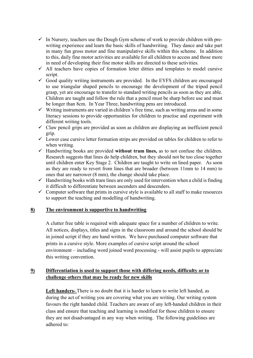- $\checkmark$  In Nursery, teachers use the Dough Gym scheme of work to provide children with prewriting experience and learn the basic skills of handwriting. They dance and take part in many fun gross motor and fine manipulative skills within this scheme. In addition to this, daily fine motor activities are available for all children to access and those more in need of developing their fine motor skills are directed to these activities.
- $\checkmark$  All teachers have copies of formation letter ditties and templates to model cursive script.
- $\checkmark$  Good quality writing instruments are provided. In the EYFS children are encouraged to use triangular shaped pencils to encourage the development of the tripod pencil grasp, yet are encourage to transfer to standard writing pencils as soon as they are able. Children are taught and follow the rule that a pencil must be sharp before use and must be longer than 8cm. In Year Three, handwriting pens are introduced.
- $\checkmark$  Writing instruments are varied in children's free time, such as writing areas and in some literacy sessions to provide opportunities for children to practise and experiment with different writing tools.
- $\checkmark$  Claw pencil grips are provided as soon as children are displaying an inefficient pencil grip.
- $\checkmark$  Lower case cursive letter formation strips are provided on tables for children to refer to when writing.
- Handwriting books are provided **without tram lines,** as to not confuse the children. Research suggests that lines do help children, but they should not be too close together until children enter Key Stage 2. Children are taught to write on lined paper. As soon as they are ready to revert from lines that are broader (between 11mm to 14 mm) to ones that are narrower (8 mm), the change should take place.
- $\checkmark$  Handwriting books with tram lines are only used for intervention when a child is finding it difficult to differentiate between ascenders and descenders.
- $\checkmark$  Computer software that prints in cursive style is available to all staff to make resources to support the teaching and modelling of handwriting.

#### **8) The environment is supportive to handwriting**

A clutter free table is required with adequate space for a number of children to write. All notices, displays, titles and signs in the classroom and around the school should be in joined script if they are hand written. We have purchased computer software that prints in a cursive style. More examples of cursive script around the school environment – including word joined word processing - will assist pupils to appreciate this writing convention.

# **9) Differentiation is used to support those with differing needs, difficulty or to challenge others that may be ready for new skills**

**Left handers-** There is no doubt that it is harder to learn to write left handed, as during the act of writing you are covering what you are writing. Our writing system favours the right handed child. Teachers are aware of any left-handed children in their class and ensure that teaching and learning is modified for those children to ensure they are not disadvantaged in any way when writing. The following guidelines are adhered to: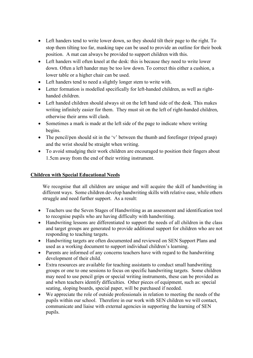- Left handers tend to write lower down, so they should tilt their page to the right. To stop them tilting too far, masking tape can be used to provide an outline for their book position. A mat can always be provided to support children with this.
- Left handers will often kneel at the desk: this is because they need to write lower down. Often a left hander may be too low down. To correct this either a cushion, a lower table or a higher chair can be used.
- Left handers tend to need a slightly longer stem to write with.
- Letter formation is modelled specifically for left-handed children, as well as righthanded children.
- Left handed children should always sit on the left hand side of the desk. This makes writing infinitely easier for them. They must sit on the left of right-handed children, otherwise their arms will clash.
- Sometimes a mark is made at the left side of the page to indicate where writing begins.
- The pencil/pen should sit in the 'v' between the thumb and forefinger (tripod grasp) and the wrist should be straight when writing.
- To avoid smudging their work children are encouraged to position their fingers about 1.5cm away from the end of their writing instrument.

### **Children with Special Educational Needs**

We recognise that all children are unique and will acquire the skill of handwriting in different ways. Some children develop handwriting skills with relative ease, while others struggle and need further support. As a result:

- Teachers use the Seven Stages of Handwriting as an assessment and identification tool to recognise pupils who are having difficulty with handwriting.
- Handwriting lessons are differentiated to support the needs of all children in the class and target groups are generated to provide additional support for children who are not responding to teaching targets.
- Handwriting targets are often documented and reviewed on SEN Support Plans and used as a working document to support individual children's learning.
- Parents are informed of any concerns teachers have with regard to the handwriting development of their child.
- Extra resources are available for teaching assistants to conduct small handwriting groups or one to one sessions to focus on specific handwriting targets. Some children may need to use pencil grips or special writing instruments, these can be provided as and when teachers identify difficulties. Other pieces of equipment, such as: special seating, sloping boards, special paper, will be purchased if needed.
- We appreciate the role of outside professionals in relation to meeting the needs of the pupils within our school. Therefore in our work with SEN children we will contact, communicate and liaise with external agencies in supporting the learning of SEN pupils.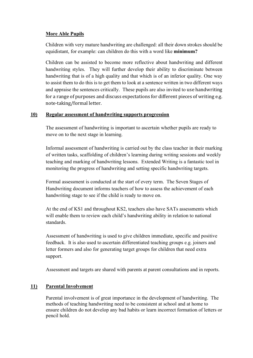#### **More Able Pupils**

Children with very mature handwriting are challenged: all their down strokes should be equidistant, for example: can children do this with a word like **minimum?**

Children can be assisted to become more reflective about handwriting and different handwriting styles. They will further develop their ability to discriminate between handwriting that is of a high quality and that which is of an inferior quality. One way to assist them to do this is to get them to look at a sentence written in two different ways and appraise the sentences critically. These pupils are also invited to use handwriting for a range of purposes and discuss expectations for different pieces of writing e.g. note-taking/formal letter.

#### **10) Regular assessment of handwriting supports progression**

The assessment of handwriting is important to ascertain whether pupils are ready to move on to the next stage in learning.

Informal assessment of handwriting is carried out by the class teacher in their marking of written tasks, scaffolding of children's learning during writing sessions and weekly teaching and marking of handwriting lessons. Extended Writing is a fantastic tool in monitoring the progress of handwriting and setting specific handwriting targets.

Formal assessment is conducted at the start of every term. The Seven Stages of Handwriting document informs teachers of how to assess the achievement of each handwriting stage to see if the child is ready to move on.

At the end of KS1 and throughout KS2, teachers also have SATs assessments which will enable them to review each child's handwriting ability in relation to national standards.

Assessment of handwriting is used to give children immediate, specific and positive feedback. It is also used to ascertain differentiated teaching groups e.g. joiners and letter formers and also for generating target groups for children that need extra support.

Assessment and targets are shared with parents at parent consultations and in reports.

#### **11) Parental Involvement**

Parental involvement is of great importance in the development of handwriting. The methods of teaching handwriting need to be consistent at school and at home to ensure children do not develop any bad habits or learn incorrect formation of letters or pencil hold.